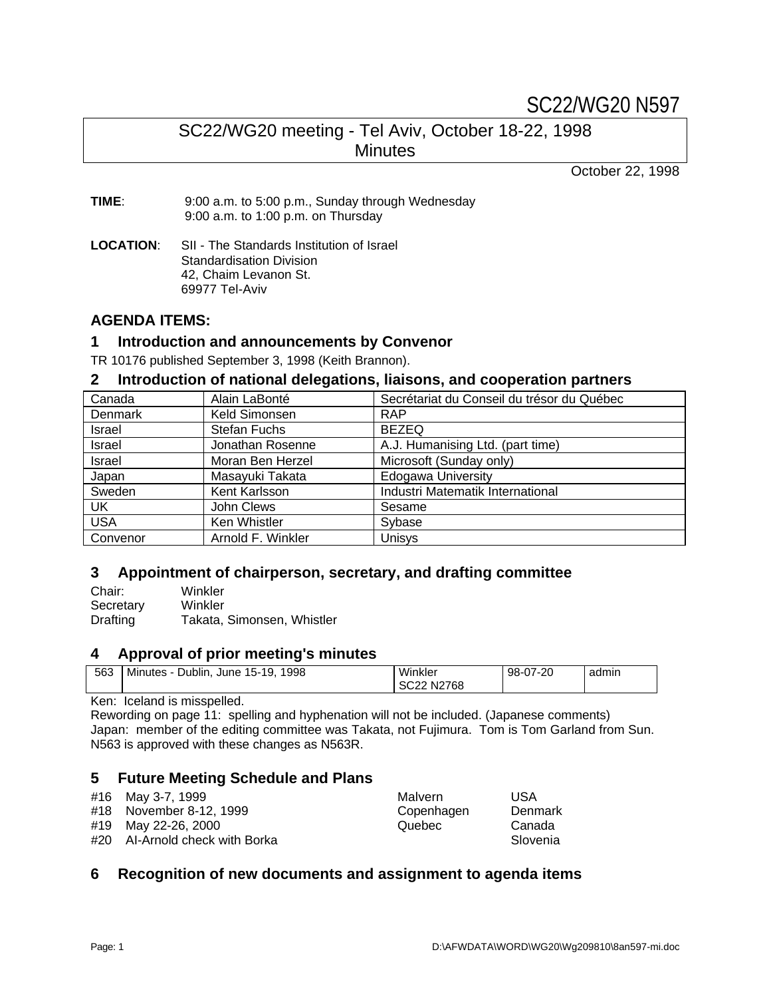# SC22/WG20 N597

# SC22/WG20 meeting - Tel Aviv, October 18-22, 1998 **Minutes**

October 22, 1998

**TIME**: 9:00 a.m. to 5:00 p.m., Sunday through Wednesday 9:00 a.m. to 1:00 p.m. on Thursday

**LOCATION**: SII - The Standards Institution of Israel Standardisation Division 42, Chaim Levanon St. 69977 Tel-Aviv

# **AGENDA ITEMS:**

# **1 Introduction and announcements by Convenor**

TR 10176 published September 3, 1998 (Keith Brannon).

## **2 Introduction of national delegations, liaisons, and cooperation partners**

| Canada     | Alain LaBonté       | Secrétariat du Conseil du trésor du Québec |
|------------|---------------------|--------------------------------------------|
| Denmark    | Keld Simonsen       | <b>RAP</b>                                 |
| Israel     | <b>Stefan Fuchs</b> | <b>BEZEQ</b>                               |
| Israel     | Jonathan Rosenne    | A.J. Humanising Ltd. (part time)           |
| Israel     | Moran Ben Herzel    | Microsoft (Sunday only)                    |
| Japan      | Masayuki Takata     | <b>Edogawa University</b>                  |
| Sweden     | Kent Karlsson       | Industri Matematik International           |
| UK         | John Clews          | Sesame                                     |
| <b>USA</b> | Ken Whistler        | Sybase                                     |
| Convenor   | Arnold F. Winkler   | Unisys                                     |

# **3 Appointment of chairperson, secretary, and drafting committee**

| Chair:    | Winkler                    |
|-----------|----------------------------|
| Secretary | Winkler                    |
| Drafting  | Takata, Simonsen, Whistler |

# **4 Approval of prior meeting's minutes**

| 563 | Minutes - Dublin, June 15-19, 1998 | Winkler    | 98-07-20 | admin |
|-----|------------------------------------|------------|----------|-------|
|     |                                    | SC22 N2768 |          |       |

# Ken: Iceland is misspelled.

Rewording on page 11: spelling and hyphenation will not be included. (Japanese comments) Japan: member of the editing committee was Takata, not Fujimura. Tom is Tom Garland from Sun. N563 is approved with these changes as N563R.

# **5 Future Meeting Schedule and Plans**

| #16 May 3-7, 1999              | Malvern    | USA      |
|--------------------------------|------------|----------|
| #18 November 8-12, 1999        | Copenhagen | Denmark  |
| #19 May 22-26, 2000            | Quebec     | Canada   |
| #20 Al-Arnold check with Borka |            | Slovenia |

# **6 Recognition of new documents and assignment to agenda items**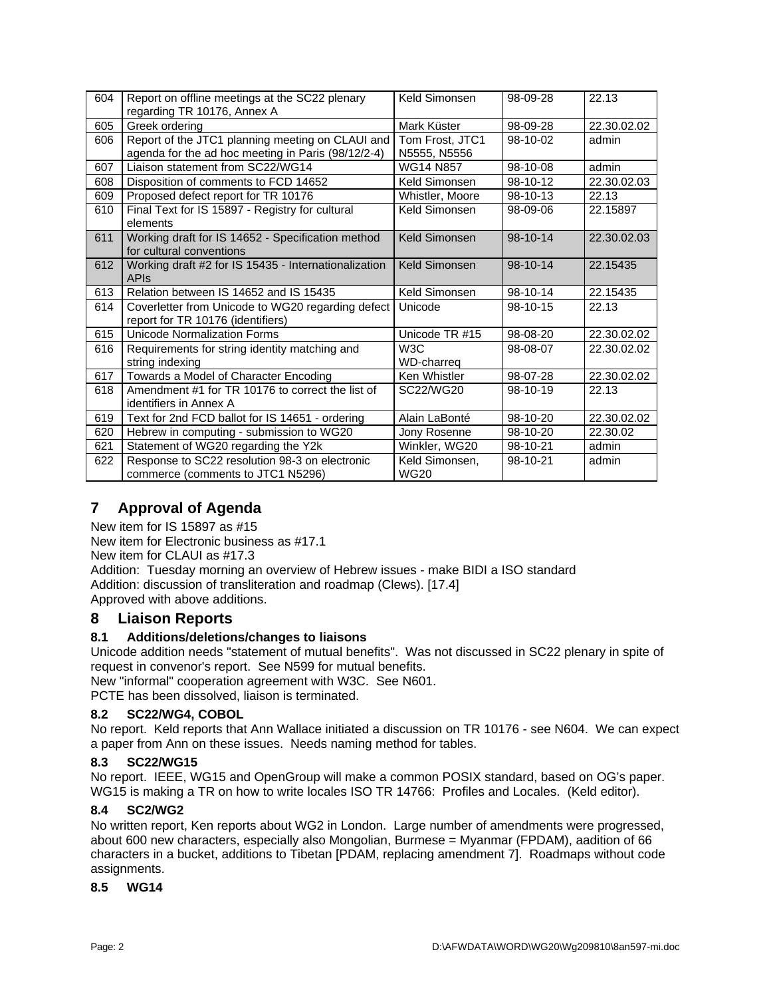| 604 | Report on offline meetings at the SC22 plenary<br>regarding TR 10176, Annex A                          | Keld Simonsen                   | 98-09-28 | 22.13       |
|-----|--------------------------------------------------------------------------------------------------------|---------------------------------|----------|-------------|
| 605 | Greek ordering                                                                                         | Mark Küster                     | 98-09-28 | 22,30,02,02 |
| 606 | Report of the JTC1 planning meeting on CLAUI and<br>agenda for the ad hoc meeting in Paris (98/12/2-4) | Tom Frost. JTC1<br>N5555, N5556 | 98-10-02 | admin       |
| 607 | Liaison statement from SC22/WG14                                                                       | <b>WG14 N857</b>                | 98-10-08 | admin       |
| 608 | Disposition of comments to FCD 14652                                                                   | Keld Simonsen                   | 98-10-12 | 22.30.02.03 |
| 609 | Proposed defect report for TR 10176                                                                    | Whistler, Moore                 | 98-10-13 | 22.13       |
| 610 | Final Text for IS 15897 - Registry for cultural<br>elements                                            | Keld Simonsen                   | 98-09-06 | 22.15897    |
| 611 | Working draft for IS 14652 - Specification method<br>for cultural conventions                          | Keld Simonsen                   | 98-10-14 | 22.30.02.03 |
| 612 | Working draft #2 for IS 15435 - Internationalization<br>APIS                                           | <b>Keld Simonsen</b>            | 98-10-14 | 22.15435    |
| 613 | Relation between IS 14652 and IS 15435                                                                 | Keld Simonsen                   | 98-10-14 | 22.15435    |
| 614 | Coverletter from Unicode to WG20 regarding defect<br>report for TR 10176 (identifiers)                 | Unicode                         | 98-10-15 | 22.13       |
| 615 | <b>Unicode Normalization Forms</b>                                                                     | Unicode TR #15                  | 98-08-20 | 22.30.02.02 |
| 616 | Requirements for string identity matching and<br>string indexing                                       | W <sub>3</sub> C<br>WD-charreg  | 98-08-07 | 22.30.02.02 |
| 617 | Towards a Model of Character Encoding                                                                  | Ken Whistler                    | 98-07-28 | 22.30.02.02 |
| 618 | Amendment #1 for TR 10176 to correct the list of<br>identifiers in Annex A                             | SC22/WG20                       | 98-10-19 | 22.13       |
| 619 | Text for 2nd FCD ballot for IS 14651 - ordering                                                        | Alain LaBonté                   | 98-10-20 | 22.30.02.02 |
| 620 | Hebrew in computing - submission to WG20                                                               | Jony Rosenne                    | 98-10-20 | 22.30.02    |
| 621 | Statement of WG20 regarding the Y2k                                                                    | Winkler, WG20                   | 98-10-21 | admin       |
| 622 | Response to SC22 resolution 98-3 on electronic<br>commerce (comments to JTC1 N5296)                    | Keld Simonsen,<br><b>WG20</b>   | 98-10-21 | admin       |

# **7 Approval of Agenda**

New item for IS 15897 as #15

New item for Electronic business as #17.1

New item for CLAUI as #17.3

Addition: Tuesday morning an overview of Hebrew issues - make BIDI a ISO standard Addition: discussion of transliteration and roadmap (Clews). [17.4]

Approved with above additions.

# **8 Liaison Reports**

# **8.1 Additions/deletions/changes to liaisons**

Unicode addition needs "statement of mutual benefits". Was not discussed in SC22 plenary in spite of request in convenor's report. See N599 for mutual benefits.

New "informal" cooperation agreement with W3C. See N601.

PCTE has been dissolved, liaison is terminated.

# **8.2 SC22/WG4, COBOL**

No report. Keld reports that Ann Wallace initiated a discussion on TR 10176 - see N604. We can expect a paper from Ann on these issues. Needs naming method for tables.

### **8.3 SC22/WG15**

No report. IEEE, WG15 and OpenGroup will make a common POSIX standard, based on OG's paper. WG15 is making a TR on how to write locales ISO TR 14766: Profiles and Locales. (Keld editor).

### **8.4 SC2/WG2**

No written report, Ken reports about WG2 in London. Large number of amendments were progressed, about 600 new characters, especially also Mongolian, Burmese = Myanmar (FPDAM), aadition of 66 characters in a bucket, additions to Tibetan [PDAM, replacing amendment 7]. Roadmaps without code assignments.

**8.5 WG14**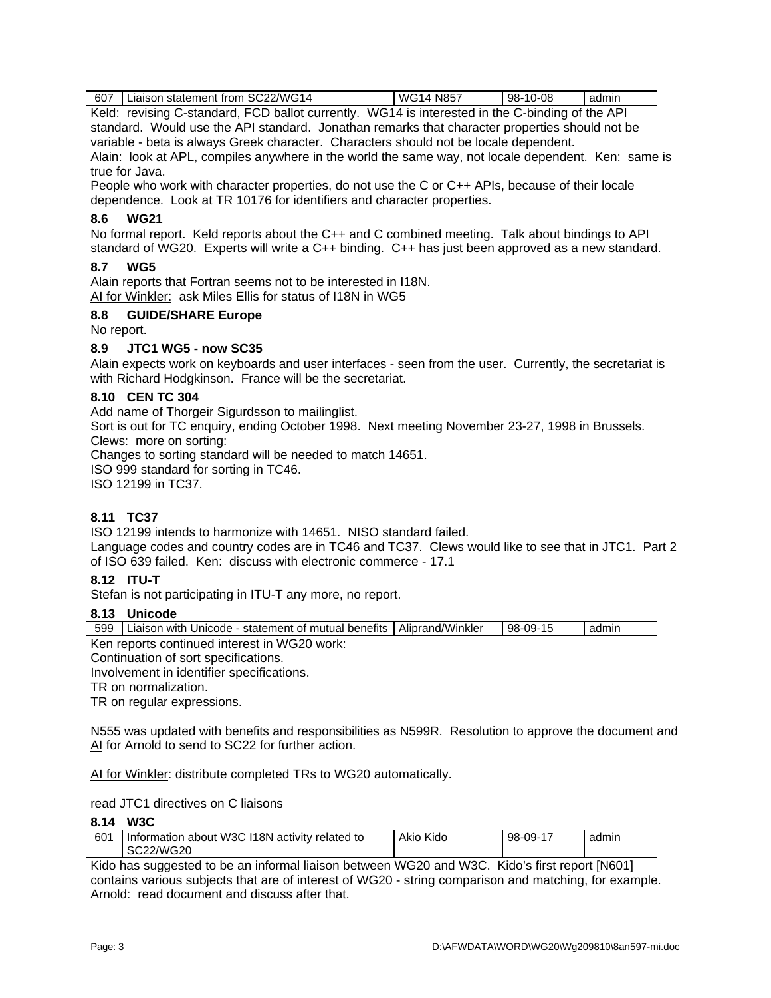607 | Liaison statement from SC22/WG14 | WG14 N857 | 98-10-08 | admin

Keld: revising C-standard, FCD ballot currently. WG14 is interested in the C-binding of the API standard. Would use the API standard. Jonathan remarks that character properties should not be variable - beta is always Greek character. Characters should not be locale dependent. Alain: look at APL, compiles anywhere in the world the same way, not locale dependent. Ken: same is true for Java.

People who work with character properties, do not use the C or C++ APIs, because of their locale dependence. Look at TR 10176 for identifiers and character properties.

### **8.6 WG21**

No formal report. Keld reports about the C++ and C combined meeting. Talk about bindings to API standard of WG20. Experts will write a C++ binding. C++ has just been approved as a new standard.

### **8.7 WG5**

Alain reports that Fortran seems not to be interested in I18N. AI for Winkler: ask Miles Ellis for status of I18N in WG5

### **8.8 GUIDE/SHARE Europe**

No report.

### **8.9 JTC1 WG5 - now SC35**

Alain expects work on keyboards and user interfaces - seen from the user. Currently, the secretariat is with Richard Hodgkinson. France will be the secretariat.

### **8.10 CEN TC 304**

Add name of Thorgeir Sigurdsson to mailinglist.

Sort is out for TC enquiry, ending October 1998. Next meeting November 23-27, 1998 in Brussels. Clews: more on sorting:

Changes to sorting standard will be needed to match 14651.

ISO 999 standard for sorting in TC46.

ISO 12199 in TC37.

### **8.11 TC37**

ISO 12199 intends to harmonize with 14651. NISO standard failed.

Language codes and country codes are in TC46 and TC37. Clews would like to see that in JTC1. Part 2 of ISO 639 failed. Ken: discuss with electronic commerce - 17.1

#### **8.12 ITU-T**

Stefan is not participating in ITU-T any more, no report.

#### **8.13 Unicode**

| 599 | ∟iaison with Unicode - statement of mutual benefits | Aliprand/Winkler | 98-09-15 | admın |
|-----|-----------------------------------------------------|------------------|----------|-------|
|     | Ken reports continued interest in WG20 work:        |                  |          |       |

Continuation of sort specifications.

Involvement in identifier specifications.

TR on normalization.

TR on regular expressions.

N555 was updated with benefits and responsibilities as N599R. Resolution to approve the document and AI for Arnold to send to SC22 for further action.

AI for Winkler: distribute completed TRs to WG20 automatically.

read JTC1 directives on C liaisons

#### **8.14 W3C**

| 601 | l Information about W3C I18N activity related to | Akio Kido | 98-09-17 | admin |
|-----|--------------------------------------------------|-----------|----------|-------|
|     | SC22/WG20                                        |           |          |       |

Kido has suggested to be an informal liaison between WG20 and W3C. Kido's first report [N601] contains various subjects that are of interest of WG20 - string comparison and matching, for example. Arnold: read document and discuss after that.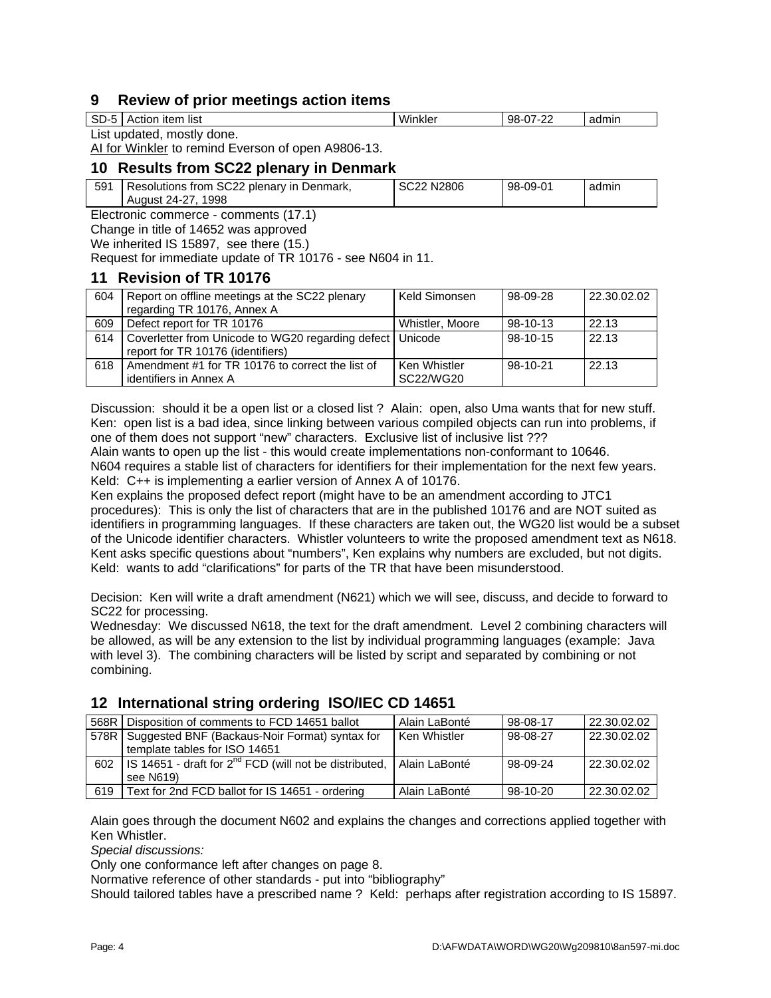# **9 Review of prior meetings action items**

| SD- | item<br>list<br>udon.<br>$\cdots$ | Winkle | $\sim$<br>98-<br>-- | admin |
|-----|-----------------------------------|--------|---------------------|-------|
| . . |                                   |        |                     |       |

List updated, mostly done.

AI for Winkler to remind Everson of open A9806-13.

# **10 Results from SC22 plenary in Denmark**

| 591 | <sup>1</sup> Resolutions from SC22 plenary in Denmark, | SC22 N2806 | 98-09-01 | admin |
|-----|--------------------------------------------------------|------------|----------|-------|
|     | August 24-27, 1998                                     |            |          |       |

Electronic commerce - comments (17.1)

Change in title of 14652 was approved

We inherited IS 15897, see there (15.)

Request for immediate update of TR 10176 - see N604 in 11.

# **11 Revision of TR 10176**

| 604 | Report on offline meetings at the SC22 plenary    | Keld Simonsen   | 98-09-28 | 22.30.02.02 |
|-----|---------------------------------------------------|-----------------|----------|-------------|
|     | regarding TR 10176, Annex A                       |                 |          |             |
| 609 | Defect report for TR 10176                        | Whistler, Moore | 98-10-13 | 22.13       |
| 614 | Coverletter from Unicode to WG20 regarding defect | Unicode         | 98-10-15 | 22.13       |
|     | report for TR 10176 (identifiers)                 |                 |          |             |
| 618 | Amendment #1 for TR 10176 to correct the list of  | Ken Whistler    | 98-10-21 | 22.13       |
|     | identifiers in Annex A                            | SC22/WG20       |          |             |

Discussion: should it be a open list or a closed list ? Alain: open, also Uma wants that for new stuff. Ken: open list is a bad idea, since linking between various compiled objects can run into problems, if one of them does not support "new" characters. Exclusive list of inclusive list ???

Alain wants to open up the list - this would create implementations non-conformant to 10646. N604 requires a stable list of characters for identifiers for their implementation for the next few years. Keld: C++ is implementing a earlier version of Annex A of 10176.

Ken explains the proposed defect report (might have to be an amendment according to JTC1 procedures): This is only the list of characters that are in the published 10176 and are NOT suited as identifiers in programming languages. If these characters are taken out, the WG20 list would be a subset of the Unicode identifier characters. Whistler volunteers to write the proposed amendment text as N618. Kent asks specific questions about "numbers", Ken explains why numbers are excluded, but not digits. Keld: wants to add "clarifications" for parts of the TR that have been misunderstood.

Decision: Ken will write a draft amendment (N621) which we will see, discuss, and decide to forward to SC22 for processing.

Wednesday: We discussed N618, the text for the draft amendment. Level 2 combining characters will be allowed, as will be any extension to the list by individual programming languages (example: Java with level 3). The combining characters will be listed by script and separated by combining or not combining.

# **12 International string ordering ISO/IEC CD 14651**

| 568R | Disposition of comments to FCD 14651 ballot                        | Alain LaBonté   | 98-08-17 | 22.30.02.02 |
|------|--------------------------------------------------------------------|-----------------|----------|-------------|
| 578R | Suggested BNF (Backaus-Noir Format) syntax for                     | Ken Whistler    | 98-08-27 | 22.30.02.02 |
|      | template tables for ISO 14651                                      |                 |          |             |
| 602  | IS 14651 - draft for 2 <sup>nd</sup> FCD (will not be distributed, | l Alain LaBonté | 98-09-24 | 22.30.02.02 |
|      | see N619)                                                          |                 |          |             |
| 619  | Text for 2nd FCD ballot for IS 14651 - ordering                    | Alain LaBonté   | 98-10-20 | 22,30,02,02 |

Alain goes through the document N602 and explains the changes and corrections applied together with Ken Whistler.

*Special discussions:*

Only one conformance left after changes on page 8.

Normative reference of other standards - put into "bibliography"

Should tailored tables have a prescribed name ? Keld: perhaps after registration according to IS 15897.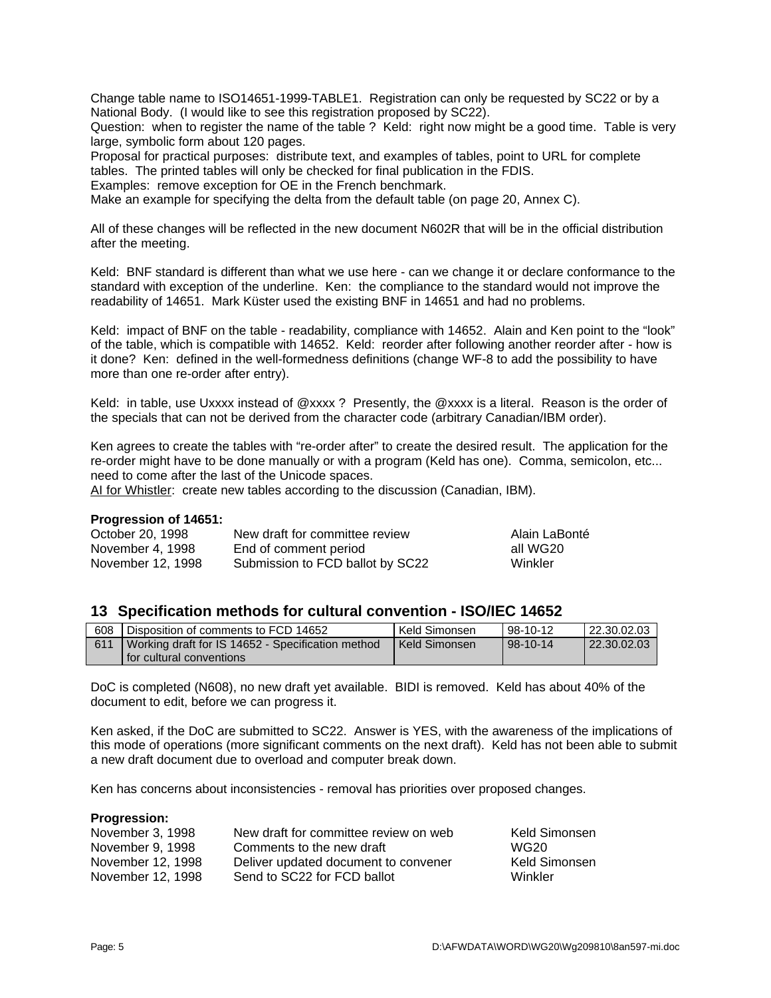Change table name to ISO14651-1999-TABLE1. Registration can only be requested by SC22 or by a National Body. (I would like to see this registration proposed by SC22).

Question: when to register the name of the table ? Keld: right now might be a good time. Table is very large, symbolic form about 120 pages.

Proposal for practical purposes: distribute text, and examples of tables, point to URL for complete tables. The printed tables will only be checked for final publication in the FDIS.

Examples: remove exception for OE in the French benchmark.

Make an example for specifying the delta from the default table (on page 20, Annex C).

All of these changes will be reflected in the new document N602R that will be in the official distribution after the meeting.

Keld: BNF standard is different than what we use here - can we change it or declare conformance to the standard with exception of the underline. Ken: the compliance to the standard would not improve the readability of 14651. Mark Küster used the existing BNF in 14651 and had no problems.

Keld: impact of BNF on the table - readability, compliance with 14652. Alain and Ken point to the "look" of the table, which is compatible with 14652. Keld: reorder after following another reorder after - how is it done? Ken: defined in the well-formedness definitions (change WF-8 to add the possibility to have more than one re-order after entry).

Keld: in table, use Uxxxx instead of @xxxx ? Presently, the @xxxx is a literal. Reason is the order of the specials that can not be derived from the character code (arbitrary Canadian/IBM order).

Ken agrees to create the tables with "re-order after" to create the desired result. The application for the re-order might have to be done manually or with a program (Keld has one). Comma, semicolon, etc... need to come after the last of the Unicode spaces.

AI for Whistler: create new tables according to the discussion (Canadian, IBM).

#### **Progression of 14651:**

| October 20, 1998  | New draft for committee review   | Alain LaBonté |
|-------------------|----------------------------------|---------------|
| November 4, 1998  | End of comment period            | all WG20      |
| November 12, 1998 | Submission to FCD ballot by SC22 | Winkler       |

### **13 Specification methods for cultural convention - ISO/IEC 14652**

| 608 | Disposition of comments to FCD 14652              | Keld Simonsen | 98-10-12 | 22.30.02.03 |
|-----|---------------------------------------------------|---------------|----------|-------------|
| 611 | Working draft for IS 14652 - Specification method | Keld Simonsen | 98-10-14 | 22.30.02.03 |
|     | l for cultural conventions                        |               |          |             |

DoC is completed (N608), no new draft yet available. BIDI is removed. Keld has about 40% of the document to edit, before we can progress it.

Ken asked, if the DoC are submitted to SC22. Answer is YES, with the awareness of the implications of this mode of operations (more significant comments on the next draft). Keld has not been able to submit a new draft document due to overload and computer break down.

Ken has concerns about inconsistencies - removal has priorities over proposed changes.

#### **Progression:**

| November 3, 1998  | New draft for committee review on web | Keld Simonsen |
|-------------------|---------------------------------------|---------------|
| November 9, 1998  | Comments to the new draft             | WG20          |
| November 12, 1998 | Deliver updated document to convener  | Keld Simonsen |
| November 12, 1998 | Send to SC22 for FCD ballot           | Winkler       |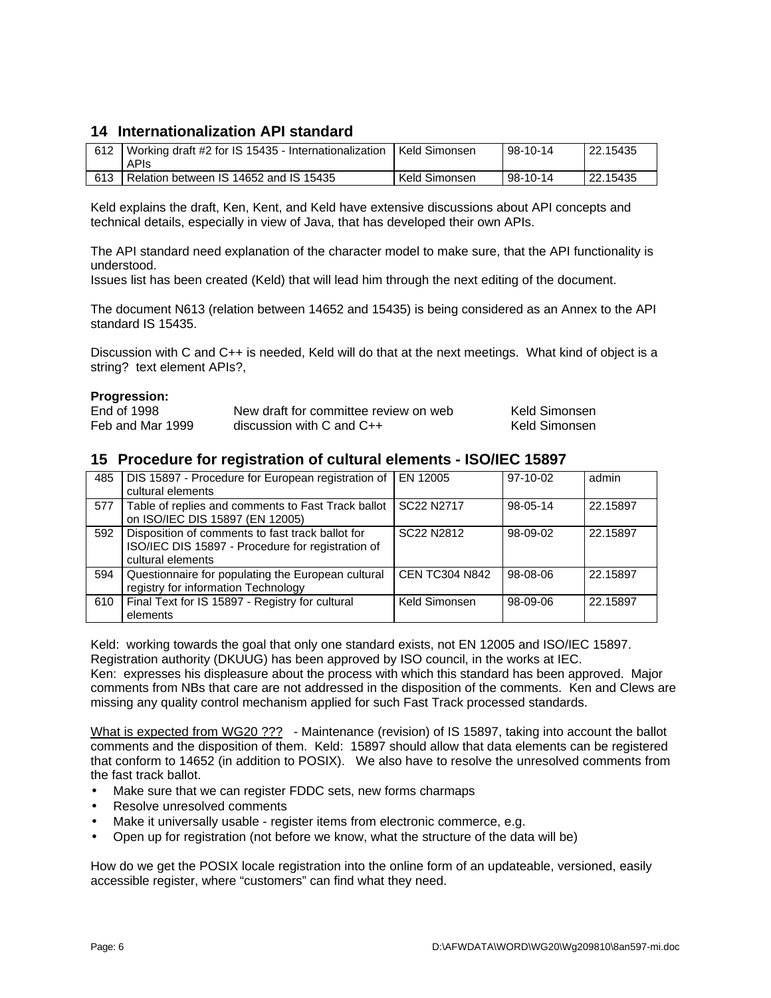# **14 Internationalization API standard**

| 612 | Working draft #2 for IS 15435 - Internationalization   Keld Simonsen<br><b>APIS</b> |               | 98-10-14 | 122.15435 |
|-----|-------------------------------------------------------------------------------------|---------------|----------|-----------|
| 613 | Relation between IS 14652 and IS 15435                                              | Keld Simonsen | 98-10-14 | 122.15435 |

Keld explains the draft, Ken, Kent, and Keld have extensive discussions about API concepts and technical details, especially in view of Java, that has developed their own APIs.

The API standard need explanation of the character model to make sure, that the API functionality is understood.

Issues list has been created (Keld) that will lead him through the next editing of the document.

The document N613 (relation between 14652 and 15435) is being considered as an Annex to the API standard IS 15435.

Discussion with C and C++ is needed, Keld will do that at the next meetings. What kind of object is a string? text element APIs?,

#### **Progression:**

| End of 1998      | New draft for committee review on web | Keld Simonsen |
|------------------|---------------------------------------|---------------|
| Feb and Mar 1999 | discussion with C and $C++$           | Keld Simonsen |

## **15 Procedure for registration of cultural elements - ISO/IEC 15897**

| 485 | DIS 15897 - Procedure for European registration of<br>cultural elements                                                    | EN 12005              | $97-10-02$ | admin    |
|-----|----------------------------------------------------------------------------------------------------------------------------|-----------------------|------------|----------|
| 577 | Table of replies and comments to Fast Track ballot<br>on ISO/IEC DIS 15897 (EN 12005)                                      | SC22 N2717            | 98-05-14   | 22.15897 |
| 592 | Disposition of comments to fast track ballot for<br>ISO/IEC DIS 15897 - Procedure for registration of<br>cultural elements | SC22 N2812            | 98-09-02   | 22.15897 |
| 594 | Questionnaire for populating the European cultural<br>registry for information Technology                                  | <b>CEN TC304 N842</b> | 98-08-06   | 22.15897 |
| 610 | Final Text for IS 15897 - Registry for cultural<br>elements                                                                | Keld Simonsen         | 98-09-06   | 22.15897 |

Keld: working towards the goal that only one standard exists, not EN 12005 and ISO/IEC 15897. Registration authority (DKUUG) has been approved by ISO council, in the works at IEC. Ken: expresses his displeasure about the process with which this standard has been approved. Major comments from NBs that care are not addressed in the disposition of the comments. Ken and Clews are missing any quality control mechanism applied for such Fast Track processed standards.

What is expected from WG20 ??? - Maintenance (revision) of IS 15897, taking into account the ballot comments and the disposition of them. Keld: 15897 should allow that data elements can be registered that conform to 14652 (in addition to POSIX). We also have to resolve the unresolved comments from the fast track ballot.

- Make sure that we can register FDDC sets, new forms charmaps
- Resolve unresolved comments
- Make it universally usable register items from electronic commerce, e.g.
- Open up for registration (not before we know, what the structure of the data will be)

How do we get the POSIX locale registration into the online form of an updateable, versioned, easily accessible register, where "customers" can find what they need.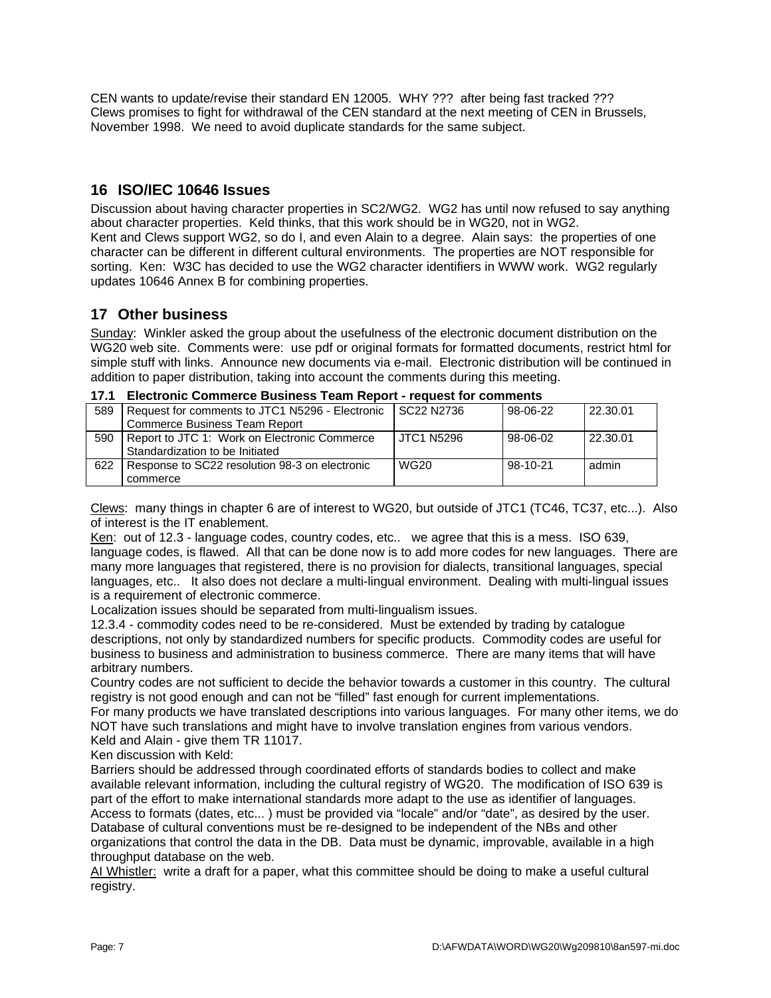CEN wants to update/revise their standard EN 12005. WHY ??? after being fast tracked ??? Clews promises to fight for withdrawal of the CEN standard at the next meeting of CEN in Brussels, November 1998. We need to avoid duplicate standards for the same subject.

# **16 ISO/IEC 10646 Issues**

Discussion about having character properties in SC2/WG2. WG2 has until now refused to say anything about character properties. Keld thinks, that this work should be in WG20, not in WG2. Kent and Clews support WG2, so do I, and even Alain to a degree. Alain says: the properties of one character can be different in different cultural environments. The properties are NOT responsible for sorting. Ken: W3C has decided to use the WG2 character identifiers in WWW work. WG2 regularly updates 10646 Annex B for combining properties.

# **17 Other business**

Sunday: Winkler asked the group about the usefulness of the electronic document distribution on the WG20 web site. Comments were: use pdf or original formats for formatted documents, restrict html for simple stuff with links. Announce new documents via e-mail. Electronic distribution will be continued in addition to paper distribution, taking into account the comments during this meeting.

## **17.1 Electronic Commerce Business Team Report - request for comments**

| 589 | Request for comments to JTC1 N5296 - Electronic | <b>SC22 N2736</b> | 98-06-22 | 22.30.01 |
|-----|-------------------------------------------------|-------------------|----------|----------|
|     | Commerce Business Team Report                   |                   |          |          |
| 590 | Report to JTC 1: Work on Electronic Commerce    | <b>JTC1 N5296</b> | 98-06-02 | 22.30.01 |
|     | Standardization to be Initiated                 |                   |          |          |
| 622 | Response to SC22 resolution 98-3 on electronic  | <b>WG20</b>       | 98-10-21 | admin    |
|     | commerce                                        |                   |          |          |

Clews: many things in chapter 6 are of interest to WG20, but outside of JTC1 (TC46, TC37, etc...). Also of interest is the IT enablement.

Ken: out of 12.3 - language codes, country codes, etc.. we agree that this is a mess. ISO 639, language codes, is flawed. All that can be done now is to add more codes for new languages. There are many more languages that registered, there is no provision for dialects, transitional languages, special languages, etc.. It also does not declare a multi-lingual environment. Dealing with multi-lingual issues is a requirement of electronic commerce.

Localization issues should be separated from multi-lingualism issues.

12.3.4 - commodity codes need to be re-considered. Must be extended by trading by catalogue descriptions, not only by standardized numbers for specific products. Commodity codes are useful for business to business and administration to business commerce. There are many items that will have arbitrary numbers.

Country codes are not sufficient to decide the behavior towards a customer in this country. The cultural registry is not good enough and can not be "filled" fast enough for current implementations.

For many products we have translated descriptions into various languages. For many other items, we do NOT have such translations and might have to involve translation engines from various vendors. Keld and Alain - give them TR 11017.

Ken discussion with Keld:

Barriers should be addressed through coordinated efforts of standards bodies to collect and make available relevant information, including the cultural registry of WG20. The modification of ISO 639 is part of the effort to make international standards more adapt to the use as identifier of languages. Access to formats (dates, etc... ) must be provided via "locale" and/or "date", as desired by the user. Database of cultural conventions must be re-designed to be independent of the NBs and other organizations that control the data in the DB. Data must be dynamic, improvable, available in a high throughput database on the web.

AI Whistler: write a draft for a paper, what this committee should be doing to make a useful cultural registry.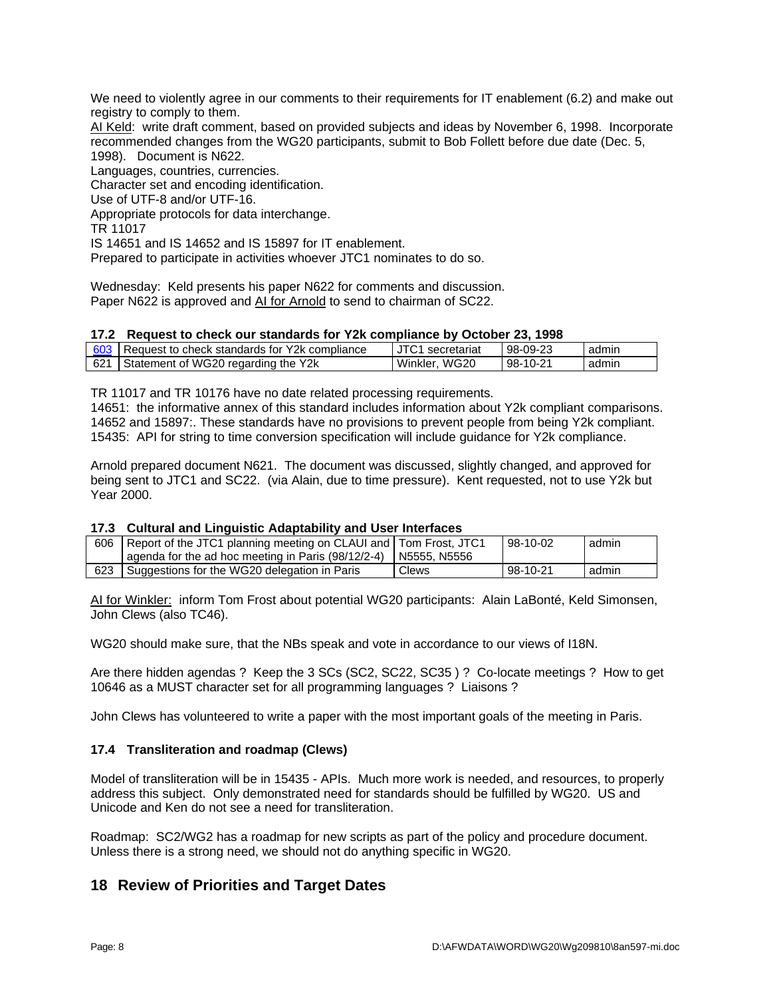We need to violently agree in our comments to their requirements for IT enablement (6.2) and make out registry to comply to them.

AI Keld: write draft comment, based on provided subjects and ideas by November 6, 1998. Incorporate recommended changes from the WG20 participants, submit to Bob Follett before due date (Dec. 5, 1998). Document is N622.

Languages, countries, currencies. Character set and encoding identification. Use of UTF-8 and/or UTF-16. Appropriate protocols for data interchange. TR 11017 IS 14651 and IS 14652 and IS 15897 for IT enablement. Prepared to participate in activities whoever JTC1 nominates to do so.

Wednesday: Keld presents his paper N622 for comments and discussion. Paper N622 is approved and AI for Arnold to send to chairman of SC22.

### **17.2 Request to check our standards for Y2k compliance by October 23, 1998**

|     | 603   Request to check standards for Y2k compliance | JTC1 secretariat | 98-09-23 | admın |
|-----|-----------------------------------------------------|------------------|----------|-------|
| 621 | Statement of WG20 regarding the Y2k                 | WG20<br>Winkler. | 98-10-21 | admin |

TR 11017 and TR 10176 have no date related processing requirements.

14651: the informative annex of this standard includes information about Y2k compliant comparisons. 14652 and 15897:. These standards have no provisions to prevent people from being Y2k compliant. 15435: API for string to time conversion specification will include guidance for Y2k compliance.

Arnold prepared document N621. The document was discussed, slightly changed, and approved for being sent to JTC1 and SC22. (via Alain, due to time pressure). Kent requested, not to use Y2k but Year 2000.

#### **17.3 Cultural and Linguistic Adaptability and User Interfaces**

| 606 | Report of the JTC1 planning meeting on CLAUI and Tom Frost, JTC1           |       | 98-10-02 | admin |
|-----|----------------------------------------------------------------------------|-------|----------|-------|
|     | $\alpha$ agenda for the ad hoc meeting in Paris (98/12/2-4)   N5555, N5556 |       |          |       |
|     | Suggestions for the WG20 delegation in Paris                               | Clews | 98-10-21 | admin |

AI for Winkler: inform Tom Frost about potential WG20 participants: Alain LaBonté, Keld Simonsen, John Clews (also TC46).

WG20 should make sure, that the NBs speak and vote in accordance to our views of I18N.

Are there hidden agendas ? Keep the 3 SCs (SC2, SC22, SC35 ) ? Co-locate meetings ? How to get 10646 as a MUST character set for all programming languages ? Liaisons ?

John Clews has volunteered to write a paper with the most important goals of the meeting in Paris.

### **17.4 Transliteration and roadmap (Clews)**

Model of transliteration will be in 15435 - APIs. Much more work is needed, and resources, to properly address this subject. Only demonstrated need for standards should be fulfilled by WG20. US and Unicode and Ken do not see a need for transliteration.

Roadmap: SC2/WG2 has a roadmap for new scripts as part of the policy and procedure document. Unless there is a strong need, we should not do anything specific in WG20.

# **18 Review of Priorities and Target Dates**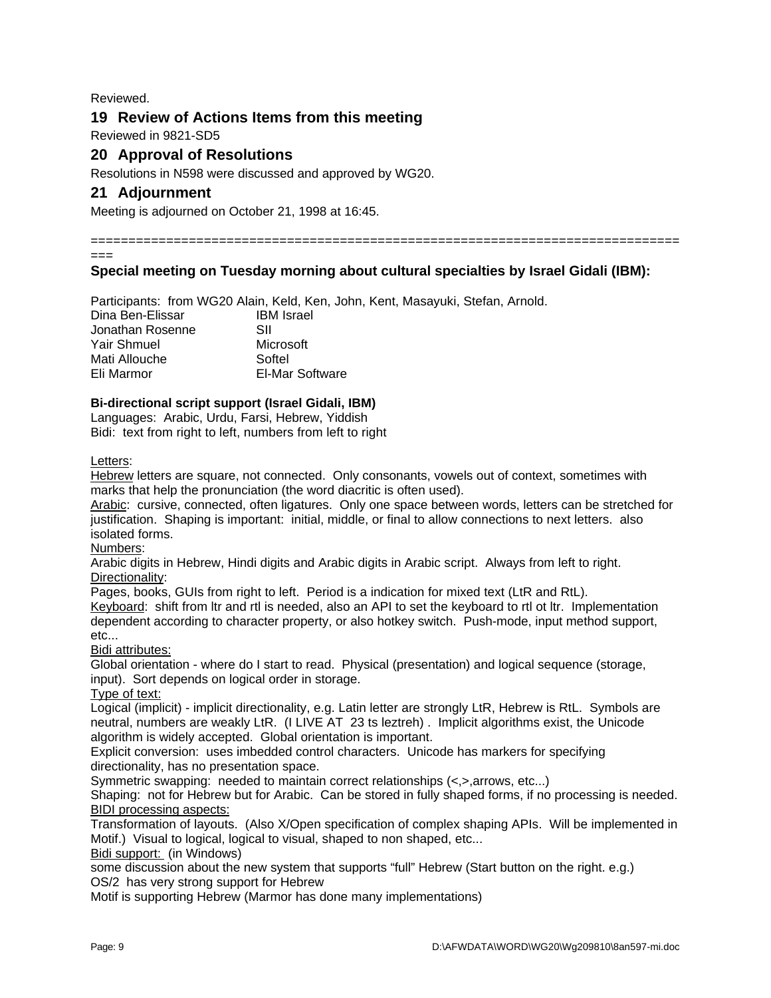Reviewed.

# **19 Review of Actions Items from this meeting**

Reviewed in 9821-SD5

# **20 Approval of Resolutions**

Resolutions in N598 were discussed and approved by WG20.

# **21 Adjournment**

Meeting is adjourned on October 21, 1998 at 16:45.

==============================================================================

===

## **Special meeting on Tuesday morning about cultural specialties by Israel Gidali (IBM):**

Participants: from WG20 Alain, Keld, Ken, John, Kent, Masayuki, Stefan, Arnold. Dina Ben-Elissar **IBM Israel** Jonathan Rosenne SII Yair Shmuel Microsoft Mati Allouche Softel Eli Marmor El-Mar Software

### **Bi-directional script support (Israel Gidali, IBM)**

Languages: Arabic, Urdu, Farsi, Hebrew, Yiddish Bidi: text from right to left, numbers from left to right

Letters:

Hebrew letters are square, not connected. Only consonants, vowels out of context, sometimes with marks that help the pronunciation (the word diacritic is often used).

Arabic: cursive, connected, often ligatures. Only one space between words, letters can be stretched for justification. Shaping is important: initial, middle, or final to allow connections to next letters. also isolated forms.

Numbers:

Arabic digits in Hebrew, Hindi digits and Arabic digits in Arabic script. Always from left to right. Directionality:

Pages, books, GUIs from right to left. Period is a indication for mixed text (LtR and RtL). Keyboard: shift from ltr and rtl is needed, also an API to set the keyboard to rtl ot ltr. Implementation dependent according to character property, or also hotkey switch. Push-mode, input method support, etc...

Bidi attributes:

Global orientation - where do I start to read. Physical (presentation) and logical sequence (storage, input). Sort depends on logical order in storage.

Type of text:

Logical (implicit) - implicit directionality, e.g. Latin letter are strongly LtR, Hebrew is RtL. Symbols are neutral, numbers are weakly LtR. (I LIVE AT 23 ts leztreh) . Implicit algorithms exist, the Unicode algorithm is widely accepted. Global orientation is important.

Explicit conversion: uses imbedded control characters. Unicode has markers for specifying directionality, has no presentation space.

Symmetric swapping: needed to maintain correct relationships (<,>,arrows, etc...)

Shaping: not for Hebrew but for Arabic. Can be stored in fully shaped forms, if no processing is needed. **BIDI** processing aspects:

Transformation of layouts. (Also X/Open specification of complex shaping APIs. Will be implemented in Motif.) Visual to logical, logical to visual, shaped to non shaped, etc...

Bidi support: (in Windows)

some discussion about the new system that supports "full" Hebrew (Start button on the right. e.g.) OS/2 has very strong support for Hebrew

Motif is supporting Hebrew (Marmor has done many implementations)